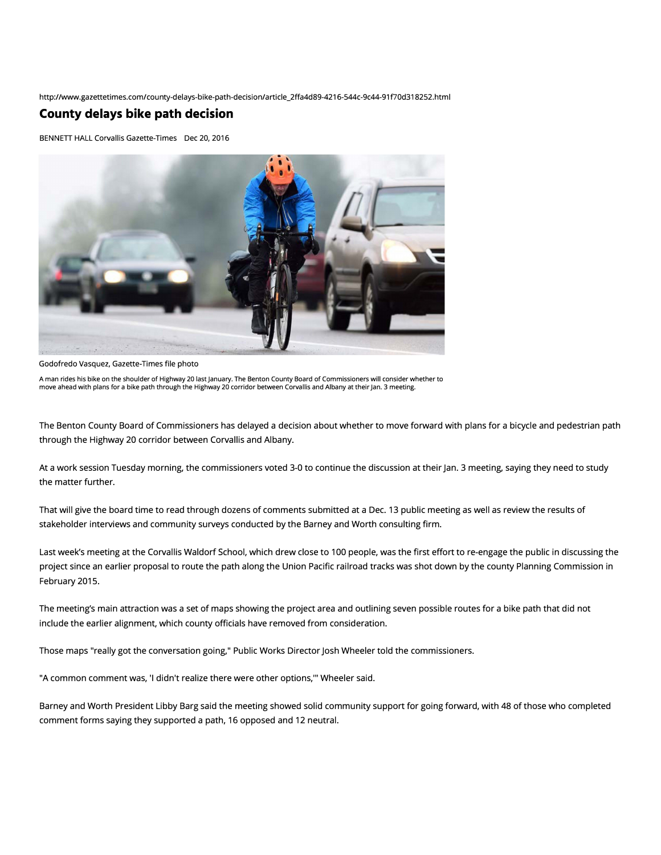http://www.gazettetimes.com/county-delays-bike-path-decision/article\_2ffa4d89-4216-544c-9c44-91f70d318252.html

## **County delays bike path decision**

BENNETT HALL Corvallis Gazette-Times Dec 20, 2016



Godofredo Vasquez, Gazette-Times file photo

A man rides his bike on the shoulder of Highway 20 last January. The Benton County Board of Commissioners will consider whether to move ahead with plans for a bike path through the Highway 20 corridor between Corvallis and Albany at their Jan. 3 meeting.

The Benton County Board of Commissioners has delayed a decision about whether to move forward with plans for a bicycle and pedestrian path through the Highway 20 corridor between Corvallis and Albany.

At a work session Tuesday morning, the commissioners voted 3-0 to continue the discussion at their Jan. 3 meeting, saying they need to study the matter further.

That will give the board time to read through dozens of comments submitted at a Dec. 13 public meeting as well as review the results of stakeholder interviews and community surveys conducted by the Barney and Worth consulting firm.

Last week's meeting at the Corvallis Waldorf School, which drew close to 100 people, was the first effort to re-engage the public in discussing the project since an earlier proposal to route the path along the Union Pacific railroad tracks was shot down by the county Planning Commission in February 2015.

The meeting's main attraction was a set of maps showing the project area and outlining seven possible routes for a bike path that did not include the earlier alignment, which county officials have removed from consideration.

Those maps "really got the conversation going," Public Works Director Josh Wheeler told the commissioners.

"A common comment was, 'I didn't realize there were other options,"' Wheeler said.

Barney and Worth President Libby Barg said the meeting showed solid community support for going forward, with 48 of those who completed comment forms saying they supported a path, 16 opposed and 12 neutral.